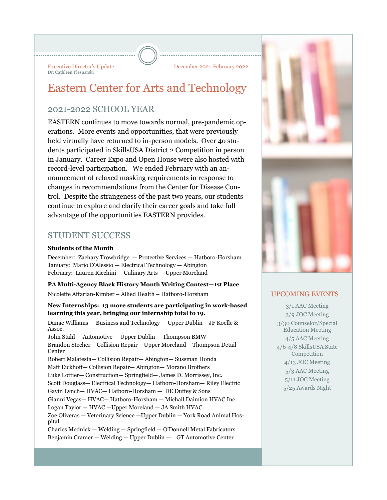Executive Director's Update December 2021-February 2022 Dr. Cathleen Plesnarski

# Eastern Center for Arts and Technology

# 2021-2022 SCHOOL YEAR

EASTERN continues to move towards normal, pre-pandemic operations. More events and opportunities, that were previously held virtually have returned to in-person models. Over 4o students participated in SkillsUSA District 2 Competition in person in January. Career Expo and Open House were also hosted with record-level participation. We ended February with an announcement of relaxed masking requirements in response to changes in recommendations from the Center for Disease Control. Despite the strangeness of the past two years, our students continue to explore and clarify their career goals and take full advantage of the opportunities EASTERN provides.

# STUDENT SUCCESS

#### **Students of the Month**

December: Zachary Trowbridge — Protective Services — Hatboro-Horsham January: Mario D'Alessio — Electrical Technology — Abington February: Lauren Ricchini — Culinary Arts — Upper Moreland

**PA Multi-Agency Black History Month Writing Contest—1st Place**  Nicolette Attarian-Kimber – Allied Health – Hatboro-Horsham

#### **New Internships: 13 more students are participating in work-based learning this year, bringing our internship total to 19.**

Danae Williams — Business and Technology — Upper Dublin— JF Koelle & Assoc. John Stahl — Automotive — Upper Dublin — Thompson BMW Brandon Stecher— Collision Repair— Upper Moreland— Thompson Detail Center Robert Malatesta— Collision Repair— Abington— Sussman Honda Matt Eickhoff— Collision Repair— Abington— Morano Brothers Luke Lottier— Construction— Springfield— James D. Morrissey, Inc. Scott Douglass— Electrical Technology— Hatboro-Horsham— Riley Electric Gavin Lynch— HVAC— Hatboro-Horsham — DE Duffey & Sons Gianni Vegas— HVAC— Hatboro-Horsham — Michall Daimion HVAC Inc. Logan Taylor — HVAC — Upper Moreland — JA Smith HVAC Zoe Oliveras — Veterinary Science —Upper Dublin — York Road Animal Hospital Charles Mednick — Welding — Springfield — O'Donnell Metal Fabricators Benjamin Cramer — Welding — Upper Dublin — GT Automotive Center



## UPCOMING EVENTS

3/1 AAC Meeting 3/9 JOC Meeting 3/30 Counselor/Special Education Meeting 4/5 AAC Meeting 4/6-4/8 SkillsUSA State Competition 4/13 JOC Meeting 5/3 AAC Meeting 5/11 JOC Meeting 5/25 Awards Night